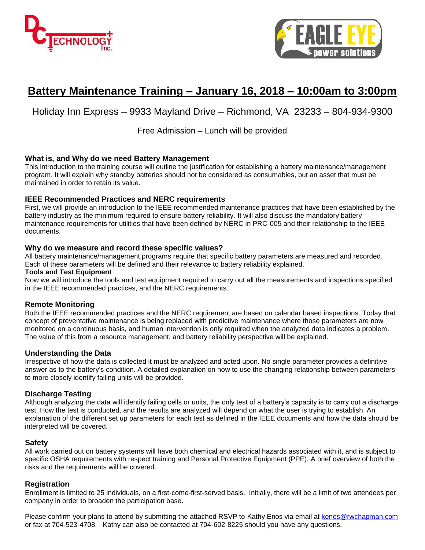



# **Battery Maintenance Training – January 16, 2018 – 10:00am to 3:00pm**

### Holiday Inn Express – 9933 Mayland Drive – Richmond, VA 23233 – 804-934-9300

Free Admission – Lunch will be provided

#### **What is, and Why do we need Battery Management**

This introduction to the training course will outline the justification for establishing a battery maintenance/management program. It will explain why standby batteries should not be considered as consumables, but an asset that must be maintained in order to retain its value.

#### **IEEE Recommended Practices and NERC requirements**

First, we will provide an introduction to the IEEE recommended maintenance practices that have been established by the battery industry as the minimum required to ensure battery reliability. It will also discuss the mandatory battery maintenance requirements for utilities that have been defined by NERC in PRC-005 and their relationship to the IEEE documents.

#### **Why do we measure and record these specific values?**

All battery maintenance/management programs require that specific battery parameters are measured and recorded. Each of these parameters will be defined and their relevance to battery reliability explained.

#### **Tools and Test Equipment**

Now we will introduce the tools and test equipment required to carry out all the measurements and inspections specified in the IEEE recommended practices, and the NERC requirements.

#### **Remote Monitoring**

Both the IEEE recommended practices and the NERC requirement are based on calendar based inspections. Today that concept of preventative maintenance is being replaced with predictive maintenance where those parameters are now monitored on a continuous basis, and human intervention is only required when the analyzed data indicates a problem. The value of this from a resource management, and battery reliability perspective will be explained.

#### **Understanding the Data**

Irrespective of how the data is collected it must be analyzed and acted upon. No single parameter provides a definitive answer as to the battery's condition. A detailed explanation on how to use the changing relationship between parameters to more closely identify failing units will be provided.

#### **Discharge Testing**

Although analyzing the data will identify failing cells or units, the only test of a battery's capacity is to carry out a discharge test. How the test is conducted, and the results are analyzed will depend on what the user is trying to establish. An explanation of the different set up parameters for each test as defined in the IEEE documents and how the data should be interpreted will be covered.

#### **Safety**

All work carried out on battery systems will have both chemical and electrical hazards associated with it, and is subject to specific OSHA requirements with respect training and Personal Protective Equipment (PPE). A brief overview of both the risks and the requirements will be covered.

#### **Registration**

Enrollment is limited to 25 individuals, on a first-come-first-served basis. Initially, there will be a limit of two attendees per company in order to broaden the participation base.

Please confirm your plans to attend by submitting the attached RSVP to Kathy Enos via email at [kenos@rwchapman.com](mailto:kenos@rwchapman.com) or fax at 704-523-4708. Kathy can also be contacted at 704-602-8225 should you have any questions.